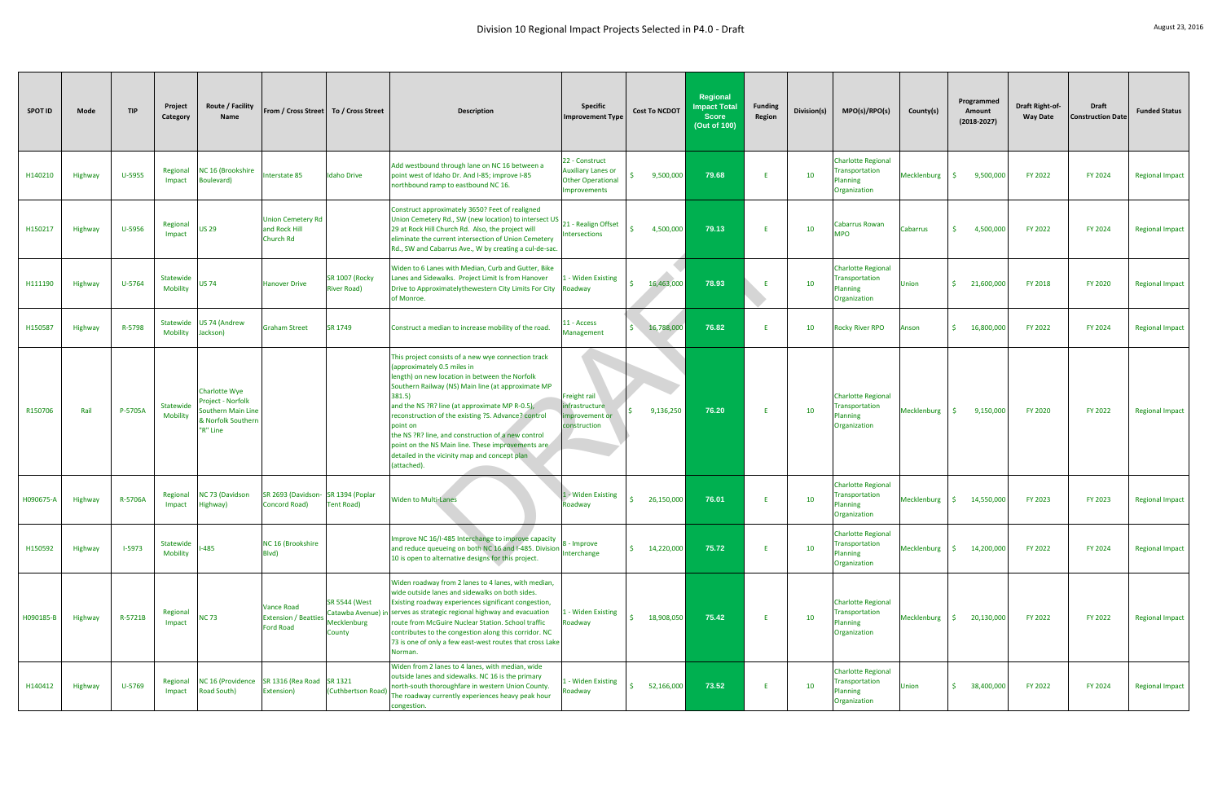|                |         |            |                              |                                                                                           |                                                                     |                                                                     | Division 10 Regional Impact Projects Selected in P4.0 - Draft                                                                                                                                                                                                                                                                                                                                                                                                                                        |                                                                                 |                      |                                                                 |                          |             |                                                                               |             |                                         |                                           |                                          | August 23, 2016        |
|----------------|---------|------------|------------------------------|-------------------------------------------------------------------------------------------|---------------------------------------------------------------------|---------------------------------------------------------------------|------------------------------------------------------------------------------------------------------------------------------------------------------------------------------------------------------------------------------------------------------------------------------------------------------------------------------------------------------------------------------------------------------------------------------------------------------------------------------------------------------|---------------------------------------------------------------------------------|----------------------|-----------------------------------------------------------------|--------------------------|-------------|-------------------------------------------------------------------------------|-------------|-----------------------------------------|-------------------------------------------|------------------------------------------|------------------------|
| <b>SPOT ID</b> | Mode    | <b>TIP</b> | Project<br>Category          | Route / Facility<br><b>Name</b>                                                           | From / Cross Street   To / Cross Street                             |                                                                     | <b>Description</b>                                                                                                                                                                                                                                                                                                                                                                                                                                                                                   | <b>Specific</b><br>mprovement Type                                              | <b>Cost To NCDOT</b> | Regional<br><b>Impact Total</b><br><b>Score</b><br>(Out of 100) | <b>Funding</b><br>Region | Division(s) | MPO(s)/RPO(s)                                                                 | County(s)   | Programmed<br>Amount<br>$(2018 - 2027)$ | <b>Draft Right-of-</b><br><b>Way Date</b> | <b>Draft</b><br><b>Construction Date</b> | <b>Funded Status</b>   |
| H140210        | Highway | U-5955     | Regional<br>Impact           | NC 16 (Brookshire<br><b>Boulevard</b> )                                                   | Interstate 85                                                       | <b>Idaho Drive</b>                                                  | Add westbound through lane on NC 16 between a<br>point west of Idaho Dr. And I-85; improve I-85<br>northbound ramp to eastbound NC 16.                                                                                                                                                                                                                                                                                                                                                               | 22 - Construct<br><b>Auxiliary Lanes or</b><br>Other Operational<br>mprovements | 9,500,000            | 79.68                                                           |                          | 10          | <b>Charlotte Regional</b><br><b>Transportation</b><br>lanning<br>Organization | Mecklenburg | 9,500,000<br>S.                         | <b>FY 2022</b>                            | FY 2024                                  | <b>Regional Impact</b> |
| H150217        | Highway | U-5956     | Regional<br>Impact           | <b>US 29</b>                                                                              | <b>Union Cemetery Rd</b><br>and Rock Hill<br><b>Church Rd</b>       |                                                                     | Construct approximately 3650? Feet of realigned<br>Union Cemetery Rd., SW (new location) to intersect US<br>29 at Rock Hill Church Rd. Also, the project will<br>eliminate the current intersection of Union Cemetery<br>Rd., SW and Cabarrus Ave., W by creating a cul-de-sac.                                                                                                                                                                                                                      | 21 - Realign Offset<br>ntersections                                             | 4,500,000            | 79.13                                                           |                          | 10          | Cabarrus Rowan<br><b>OPN</b>                                                  | Cabarrus    | S.<br>4,500,000                         | FY 2022                                   | FY 2024                                  | <b>Regional Impact</b> |
| H111190        | Highway | U-5764     | Statewide<br>Mobility        | <b>US 74</b>                                                                              | <b>Hanover Drive</b>                                                | <b>SR 1007 (Rocky</b><br><b>River Road)</b>                         | Widen to 6 Lanes with Median, Curb and Gutter, Bike<br>Lanes and Sidewalks. Project Limit Is from Hanover<br>Drive to Approximatelythewestern City Limits For City Roadway<br>of Monroe.                                                                                                                                                                                                                                                                                                             | - Widen Existing                                                                | 16,463,000<br>Ś.     | 78.93                                                           | -F                       | 10          | <b>Charlotte Regional</b><br>Transportation<br>lanning<br>Organization        | Jnion       | \$21,600,000                            | FY 2018                                   | <b>FY 2020</b>                           | <b>Regional Impact</b> |
| H150587        | Highway | R-5798     | Statewide<br><b>Mobility</b> | <b>US 74 (Andrew</b><br>Jackson)                                                          | <b>Graham Street</b>                                                | SR 1749                                                             | Construct a median to increase mobility of the road.                                                                                                                                                                                                                                                                                                                                                                                                                                                 | 1 - Access<br>Management                                                        | \$16,788,000         | 76.82                                                           |                          | 10          | <b>Rocky River RPO</b>                                                        | Anson       | S.<br>16,800,000                        | <b>FY 2022</b>                            | <b>FY 2024</b>                           | <b>Regional Impact</b> |
| R150706        | Rail    | P-5705A    | Statewide<br>Mobility        | Charlotte Wye<br>Project - Norfolk<br>Southern Main Line<br>& Norfolk Southern<br>R" Line |                                                                     |                                                                     | This project consists of a new wye connection track<br>(approximately 0.5 miles in<br>length) on new location in between the Norfolk<br>Southern Railway (NS) Main line (at approximate MP<br>381.5)<br>and the NS ?R? line (at approximate MP R-0.5),<br>reconstruction of the existing ?S. Advance? control<br>point on<br>the NS ?R? line, and construction of a new control<br>point on the NS Main line. These improvements are<br>detailed in the vicinity map and concept plan<br>(attached). | Freight rail<br>nfrastructure<br>mprovement or<br>onstruction                   | 9,136,250            | 76.20                                                           | F.                       | 10          | <b>Charlotte Regional</b><br>Transportation<br>lanning<br>Organization        | Mecklenburg | 9,150,000<br>-Ś.                        | <b>FY 2020</b>                            | FY 2022                                  | <b>Regional Impact</b> |
| H090675-A      | Highway | R-5706A    | Regional<br>Impact           | NC 73 (Davidson<br>Highway)                                                               | SR 2693 (Davidson-<br><b>Concord Road)</b>                          | SR 1394 (Poplar<br><b>Tent Road)</b>                                | <b>Widen to Multi-Lanes</b>                                                                                                                                                                                                                                                                                                                                                                                                                                                                          | 1 - Widen Existing<br>Roadway                                                   | 26,150,000<br>ς.     | 76.01                                                           | F.                       | 10          | <b>Charlotte Regional</b><br>Transportation<br>Planning<br>Organization       | Mecklenburg | $\frac{1}{2}$ 14,550,000                | <b>FY 2023</b>                            | <b>FY 2023</b>                           | <b>Regional Impact</b> |
| H150592        | Highway | $1 - 5973$ | Statewide<br>Mobility        | $-485$                                                                                    | NC 16 (Brookshire<br>Blvd)                                          |                                                                     | Improve NC 16/I-485 Interchange to improve capacity<br>and reduce queueing on both NC 16 and I-485. Division<br>10 is open to alternative designs for this project.                                                                                                                                                                                                                                                                                                                                  | - Improve<br>nterchange                                                         | Ś.<br>14,220,000     | 75.72                                                           |                          | 10          | <b>Charlotte Regional</b><br>Transportation<br>lanning<br>Organization        | Mecklenburg | 14,200,000<br>S.                        | FY 2022                                   | FY 2024                                  | <b>Regional Impact</b> |
| H090185-B      | Highway | R-5721B    | Regional<br>Impact           | <b>NC 73</b>                                                                              | <b>Vance Road</b><br><b>Extension / Beattie</b><br><b>Ford Road</b> | <b>SR 5544 (West</b><br>Catawba Avenue) in<br>Mecklenburg<br>County | Widen roadway from 2 lanes to 4 lanes, with median,<br>wide outside lanes and sidewalks on both sides.<br>Existing roadway experiences significant congestion,<br>serves as strategic regional highway and evacuation<br>route from McGuire Nuclear Station. School traffic<br>contributes to the congestion along this corridor. NC<br>73 is one of only a few east-west routes that cross Lake<br>Norman.                                                                                          | - Widen Existing<br>Roadway                                                     | 18,908,050           | 75.42                                                           | Æ                        | 10          | <b>Charlotte Regional</b><br>Transportation<br>lanning<br>Organization        | Mecklenburg | S.<br>20,130,000                        | <b>FY 2022</b>                            | FY 2022                                  | <b>Regional Impact</b> |
| H140412        | Highway | U-5769     | Regional<br>Impact           | <b>NC 16 (Providence</b><br>Road South)                                                   | SR 1316 (Rea Road SR 1321<br>Extension)                             | (Cuthbertson Road)                                                  | Widen from 2 lanes to 4 lanes, with median, wide<br>outside lanes and sidewalks. NC 16 is the primary<br>north-south thoroughfare in western Union County.<br>The roadway currently experiences heavy peak hour<br>congestion.                                                                                                                                                                                                                                                                       | - Widen Existing<br>Roadway                                                     | Š.<br>52,166,000     | 73.52                                                           | F                        | 10          | <b>Charlotte Regional</b><br>Transportation<br>lanning<br>Organization        | Union       | \$38,400,000                            | FY 2022                                   | FY 2024                                  | <b>Regional Impact</b> |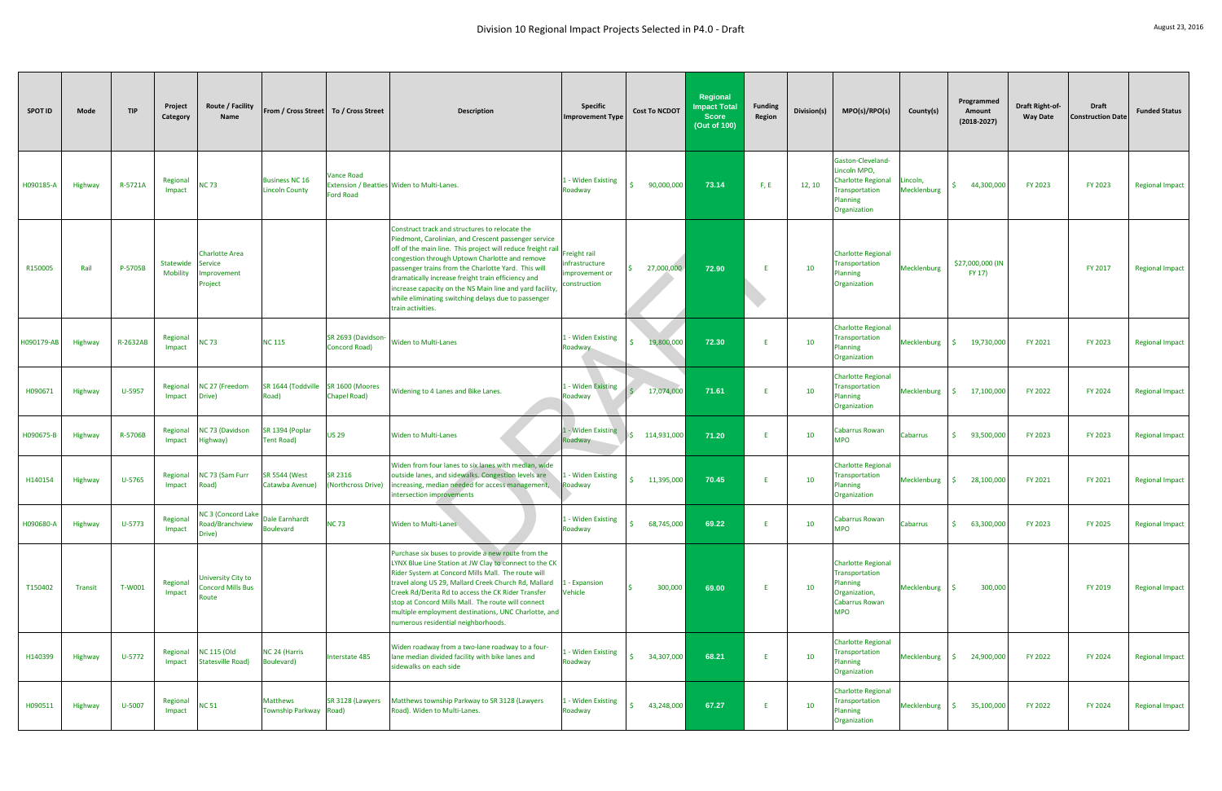|            |         |            |                       |                                                           |                                                |                                            | Division 10 Regional Impact Projects Selected in P4.0 - Draft                                                                                                                                                                                                                                                                                                                                                                                                                |                                                                |                           |                                                                 |                          |             |                                                                                                                    |                           |                                       |                                           |                                   | August 23, 2016        |
|------------|---------|------------|-----------------------|-----------------------------------------------------------|------------------------------------------------|--------------------------------------------|------------------------------------------------------------------------------------------------------------------------------------------------------------------------------------------------------------------------------------------------------------------------------------------------------------------------------------------------------------------------------------------------------------------------------------------------------------------------------|----------------------------------------------------------------|---------------------------|-----------------------------------------------------------------|--------------------------|-------------|--------------------------------------------------------------------------------------------------------------------|---------------------------|---------------------------------------|-------------------------------------------|-----------------------------------|------------------------|
| SPOT ID    | Mode    | <b>TIP</b> | Project<br>Category   | Route / Facility<br>Name                                  | From / Cross Street To / Cross Street          |                                            | <b>Description</b>                                                                                                                                                                                                                                                                                                                                                                                                                                                           | <b>Specific</b><br>mprovement Type                             | <b>Cost To NCDOT</b>      | Regional<br><b>Impact Total</b><br><b>Score</b><br>(Out of 100) | <b>Funding</b><br>Region | Division(s) | MPO(s)/RPO(s)                                                                                                      | County(s)                 | Programmed<br>Amount<br>$(2018-2027)$ | <b>Draft Right-of-</b><br><b>Way Date</b> | Draft<br><b>Construction Date</b> | <b>Funded Status</b>   |
| H090185-A  | Highway | R-5721A    | Regional<br>Impact    | <b>NC 73</b>                                              | <b>Business NC 16</b><br><b>Lincoln County</b> | <b>Vance Road</b><br><b>Ford Road</b>      | Extension / Beatties Widen to Multi-Lanes.                                                                                                                                                                                                                                                                                                                                                                                                                                   | - Widen Existing<br>Roadway                                    | 90,000,000                | 73.14                                                           | F, E                     | 12, 10      | Gaston-Cleveland-<br>Lincoln MPO,<br><b>Charlotte Regional</b><br><b>Transportation</b><br>lanning<br>Organization | .incoln,<br>Mecklenburg   | 44,300,000<br>Š.                      | FY 2023                                   | <b>FY 2023</b>                    | <b>Regional Impact</b> |
| R150005    | Rail    | P-5705B    | Statewide<br>Mobility | <b>Charlotte Area</b><br>Service<br>mprovement<br>Project |                                                |                                            | Construct track and structures to relocate the<br>Piedmont, Carolinian, and Crescent passenger service<br>off of the main line. This project will reduce freight rail<br>congestion through Uptown Charlotte and remove<br>passenger trains from the Charlotte Yard. This will<br>dramatically increase freight train efficiency and<br>increase capacity on the NS Main line and yard facility,<br>while eliminating switching delays due to passenger<br>train activities. | Freight rail<br>nfrastructure<br>mprovement or<br>construction | 27,000,000                | 72.90                                                           | -E                       | 10          | <b>Charlotte Regional</b><br><b>Transportation</b><br>Planning<br>Organization                                     | Mecklenburg               | \$27,000,000 (IN<br>FY 17)            |                                           | FY 2017                           | <b>Regional Impact</b> |
| H090179-AB | Highway | R-2632AB   | Regional<br>Impact    | <b>NC 73</b>                                              | <b>NC 115</b>                                  | SR 2693 (Davidson-<br><b>Concord Road)</b> | <b>Widen to Multi-Lanes</b>                                                                                                                                                                                                                                                                                                                                                                                                                                                  | - Widen Existing<br>Roadway                                    | 19,800,000                | 72.30                                                           |                          | 10          | <b>Charlotte Regional</b><br>Transportation<br>lanning<br>Organization                                             | Mecklenburg               | 19,730,000<br>S.                      | FY 2021                                   | <b>FY 2023</b>                    | <b>Regional Impact</b> |
| H090671    | Highway | U-5957     | Regional<br>Impact    | NC 27 (Freedom<br>Drive)                                  | SR 1644 (Toddville<br>Road)                    | SR 1600 (Moores<br><b>Chapel Road)</b>     | Widening to 4 Lanes and Bike Lanes.                                                                                                                                                                                                                                                                                                                                                                                                                                          | <b>L-Widen Existing</b><br>Roadway                             | 17,074,000<br>S.          | 71.61                                                           |                          | 10          | <b>Charlotte Regional</b><br><b>Transportation</b><br>lanning<br>Organization                                      | Mecklenburg               | 17,100,000<br>-\$                     | FY 2022                                   | FY 2024                           | <b>Regional Impact</b> |
| H090675-B  | Highway | R-5706B    | Regional<br>Impact    | NC 73 (Davidson<br>Highway)                               | SR 1394 (Poplar<br><b>Tent Road)</b>           | <b>US 29</b>                               | <b>Widen to Multi-Lanes</b>                                                                                                                                                                                                                                                                                                                                                                                                                                                  | 1 - Widen Existing<br>oadway                                   | $\frac{1}{2}$ 114,931,000 | 71.20                                                           |                          | 10          | Cabarrus Rowan<br><b>MPO</b>                                                                                       | Cabarrus                  | \$<br>93,500,000                      | FY 2023                                   | <b>FY 2023</b>                    | <b>Regional Impact</b> |
| H140154    | Highway | U-5765     | Regional<br>Impact    | NC 73 (Sam Furr<br>Road)                                  | SR 5544 (West<br>Catawba Avenue)               | SR 2316<br>(Northcross Drive)              | Widen from four lanes to six lanes with median, wide<br>outside lanes, and sidewalks. Congestion levels are 11 - Widen Existing<br>increasing, median needed for access management,<br>intersection improvements                                                                                                                                                                                                                                                             | Roadway                                                        | 11,395,000                | 70.45                                                           |                          | 10          | <b>Charlotte Regional</b><br>ransportation<br><b>Planning</b><br>Organization                                      | Mecklenburg $\frac{1}{2}$ | 28,100,000                            | FY 2021                                   | FY 2021                           | <b>Regional Impact</b> |
| H090680-A  | Highway | $U-5773$   | Regional<br>Impact    | <b>NC 3 (Concord Lake</b><br>Road/Branchview<br>Drive)    | Dale Earnhardt<br><b>Boulevard</b>             | <b>NC73</b>                                | <b>Widen to Multi-Lanes</b>                                                                                                                                                                                                                                                                                                                                                                                                                                                  | - Widen Existing<br>Roadway                                    | 68,745,000                | 69.22                                                           |                          | 10          | Cabarrus Rowan<br><b>MPO</b>                                                                                       | Cabarrus                  | $\mathsf{S}$<br>63,300,000            | FY 2023                                   | FY 2025                           | <b>Regional Impact</b> |
| T150402    | Transit | T-W001     | Regional<br>Impact    | University City to<br><b>Concord Mills Bus</b><br>Route   |                                                |                                            | Purchase six buses to provide a new route from the<br>LYNX Blue Line Station at JW Clay to connect to the CK<br>Rider System at Concord Mills Mall. The route will<br>travel along US 29, Mallard Creek Church Rd, Mallard<br>Creek Rd/Derita Rd to access the CK Rider Transfer<br>stop at Concord Mills Mall. The route will connect<br>multiple employment destinations, UNC Charlotte, and<br>numerous residential neighborhoods.                                        | - Expansion<br>Vehicle                                         | 300,000                   | 69.00                                                           | F.                       | 10          | <b>Charlotte Regional</b><br>Transportation<br>lanning<br>Organization,<br>Cabarrus Rowan<br><b>MPO</b>            | Mecklenburg               | 300,000                               |                                           | FY 2019                           | <b>Regional Impact</b> |
| H140399    | Highway | U-5772     | Regional<br>Impact    | <b>NC 115 (Old</b><br><b>Statesville Road)</b>            | NC 24 (Harris<br><b>Boulevard</b> )            | Interstate 485                             | Widen roadway from a two-lane roadway to a four-<br>lane median divided facility with bike lanes and<br>sidewalks on each side                                                                                                                                                                                                                                                                                                                                               | - Widen Existing<br>Roadway                                    | ς.<br>34,307,000          | 68.21                                                           | F                        | 10          | <b>Charlotte Regional</b><br>Transportation<br><b>Planning</b><br>Organization                                     | Mecklenburg               | 24,900,000<br>S.                      | <b>FY 2022</b>                            | <b>FY 2024</b>                    | <b>Regional Impact</b> |
| H090511    | Highway | U-5007     | Regional<br>Impact    | <b>NC 51</b>                                              | <b>Matthews</b><br>Township Parkway Road)      | SR 3128 (Lawyers                           | Matthews township Parkway to SR 3128 (Lawyers<br>Road). Widen to Multi-Lanes.                                                                                                                                                                                                                                                                                                                                                                                                | I - Widen Existing<br>Roadway                                  | 43,248,000                | 67.27                                                           | F                        | 10          | <b>Charlotte Regional</b><br>Transportation<br>Planning<br>Organization                                            | Mecklenburg               | $\sim$ 5<br>35,100,000                | <b>FY 2022</b>                            | <b>FY 2024</b>                    | <b>Regional Impact</b> |
|            |         |            |                       |                                                           |                                                |                                            |                                                                                                                                                                                                                                                                                                                                                                                                                                                                              |                                                                |                           |                                                                 |                          |             |                                                                                                                    |                           |                                       |                                           |                                   |                        |